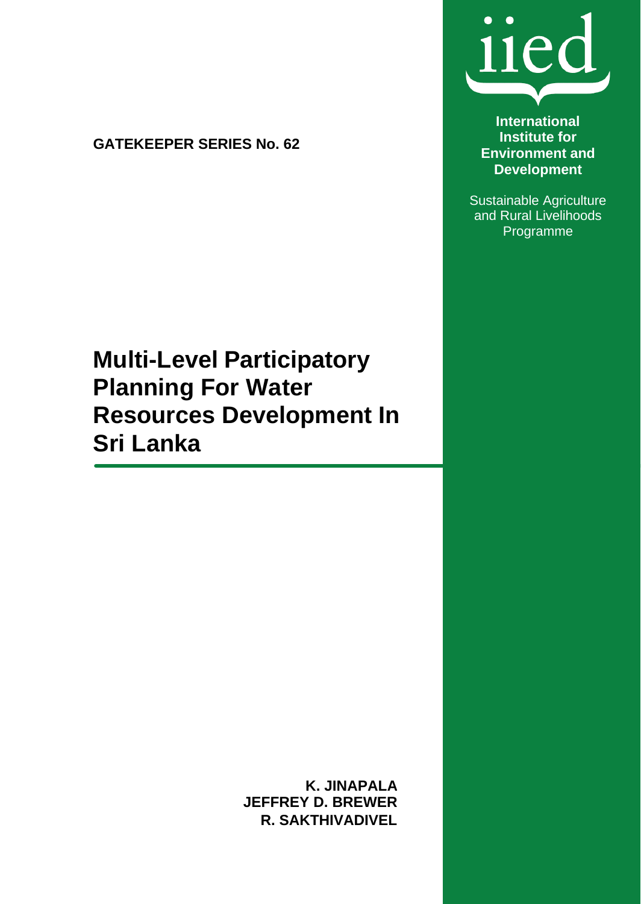**GATEKEEPER SERIES No. 62**



**International Institute for Environment and Development**

Sustainable Agriculture and Rural Livelihoods Programme

# **Multi-Level Participatory Planning For Water Resources Development In Sri Lanka**

**K. JINAPALA JEFFREY D. BREWER R. SAKTHIVADIVEL**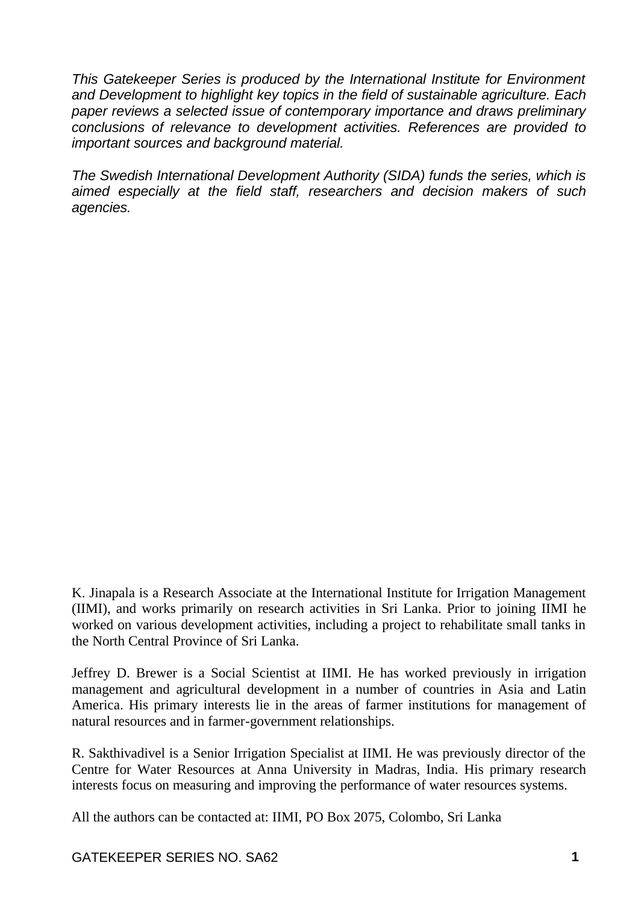*This Gatekeeper Series is produced by the International Institute for Environment and Development to highlight key topics in the field of sustainable agriculture. Each paper reviews a selected issue of contemporary importance and draws preliminary conclusions of relevance to development activities. References are provided to important sources and background material.*

*The Swedish International Development Authority (SIDA) funds the series, which is aimed especially at the field staff, researchers and decision makers of such agencies.*

K. Jinapala is a Research Associate at the International Institute for Irrigation Management (IIMI), and works primarily on research activities in Sri Lanka. Prior to joining IIMI he worked on various development activities, including a project to rehabilitate small tanks in the North Central Province of Sri Lanka.

Jeffrey D. Brewer is a Social Scientist at IIMI. He has worked previously in irrigation management and agricultural development in a number of countries in Asia and Latin America. His primary interests lie in the areas of farmer institutions for management of natural resources and in farmer-government relationships.

R. Sakthivadivel is a Senior Irrigation Specialist at IIMI. He was previously director of the Centre for Water Resources at Anna University in Madras, India. His primary research interests focus on measuring and improving the performance of water resources systems.

All the authors can be contacted at: IIMI, PO Box 2075, Colombo, Sri Lanka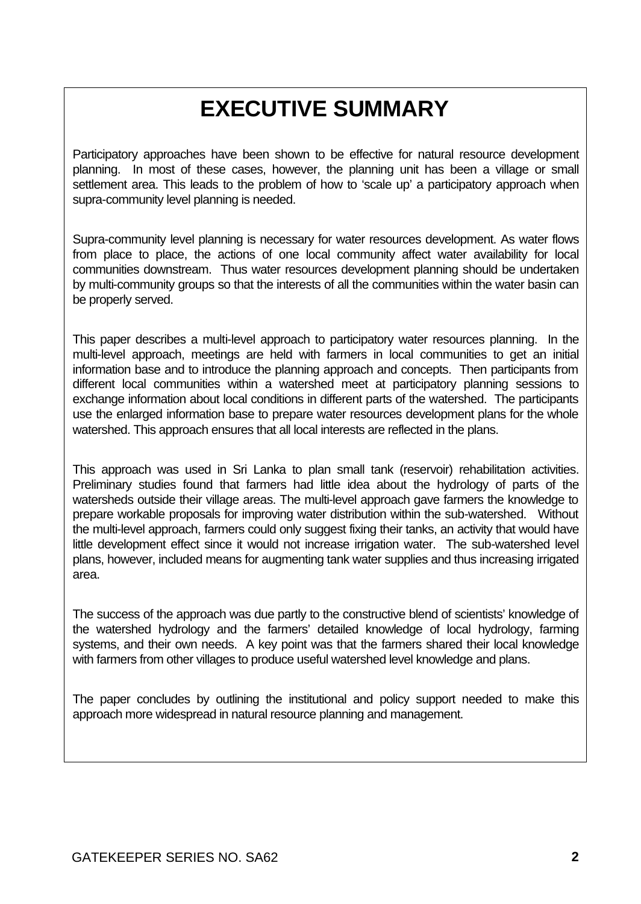# **EXECUTIVE SUMMARY**

Participatory approaches have been shown to be effective for natural resource development planning. In most of these cases, however, the planning unit has been a village or small settlement area. This leads to the problem of how to 'scale up' a participatory approach when supra-community level planning is needed.

Supra-community level planning is necessary for water resources development. As water flows from place to place, the actions of one local community affect water availability for local communities downstream. Thus water resources development planning should be undertaken by multi-community groups so that the interests of all the communities within the water basin can be properly served.

This paper describes a multi-level approach to participatory water resources planning. In the multi-level approach, meetings are held with farmers in local communities to get an initial information base and to introduce the planning approach and concepts. Then participants from different local communities within a watershed meet at participatory planning sessions to exchange information about local conditions in different parts of the watershed. The participants use the enlarged information base to prepare water resources development plans for the whole watershed. This approach ensures that all local interests are reflected in the plans.

This approach was used in Sri Lanka to plan small tank (reservoir) rehabilitation activities. Preliminary studies found that farmers had little idea about the hydrology of parts of the watersheds outside their village areas. The multi-level approach gave farmers the knowledge to prepare workable proposals for improving water distribution within the sub-watershed. Without the multi-level approach, farmers could only suggest fixing their tanks, an activity that would have little development effect since it would not increase irrigation water. The sub-watershed level plans, however, included means for augmenting tank water supplies and thus increasing irrigated area.

The success of the approach was due partly to the constructive blend of scientists' knowledge of the watershed hydrology and the farmers' detailed knowledge of local hydrology, farming systems, and their own needs. A key point was that the farmers shared their local knowledge with farmers from other villages to produce useful watershed level knowledge and plans.

The paper concludes by outlining the institutional and policy support needed to make this approach more widespread in natural resource planning and management.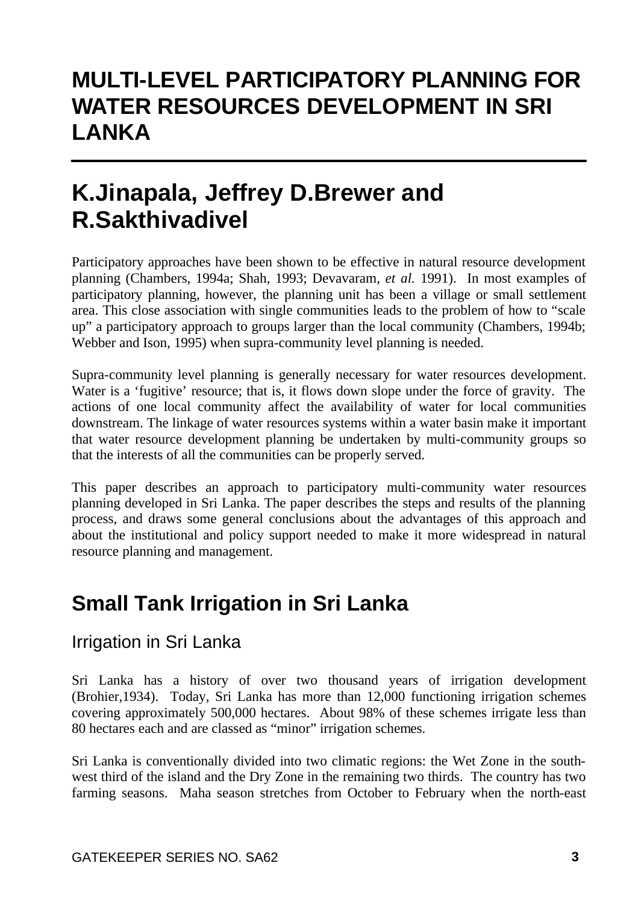## **MULTI-LEVEL PARTICIPATORY PLANNING FOR WATER RESOURCES DEVELOPMENT IN SRI LANKA**

# **K.Jinapala, Jeffrey D.Brewer and R.Sakthivadivel**

Participatory approaches have been shown to be effective in natural resource development planning (Chambers, 1994a; Shah, 1993; Devavaram, *et al.* 1991). In most examples of participatory planning, however, the planning unit has been a village or small settlement area. This close association with single communities leads to the problem of how to "scale up" a participatory approach to groups larger than the local community (Chambers, 1994b; Webber and Ison, 1995) when supra-community level planning is needed.

Supra-community level planning is generally necessary for water resources development. Water is a 'fugitive' resource; that is, it flows down slope under the force of gravity. The actions of one local community affect the availability of water for local communities downstream. The linkage of water resources systems within a water basin make it important that water resource development planning be undertaken by multi-community groups so that the interests of all the communities can be properly served.

This paper describes an approach to participatory multi-community water resources planning developed in Sri Lanka. The paper describes the steps and results of the planning process, and draws some general conclusions about the advantages of this approach and about the institutional and policy support needed to make it more widespread in natural resource planning and management.

## **Small Tank Irrigation in Sri Lanka**

### Irrigation in Sri Lanka

Sri Lanka has a history of over two thousand years of irrigation development (Brohier,1934). Today, Sri Lanka has more than 12,000 functioning irrigation schemes covering approximately 500,000 hectares. About 98% of these schemes irrigate less than 80 hectares each and are classed as "minor" irrigation schemes.

Sri Lanka is conventionally divided into two climatic regions: the Wet Zone in the southwest third of the island and the Dry Zone in the remaining two thirds. The country has two farming seasons. Maha season stretches from October to February when the north-east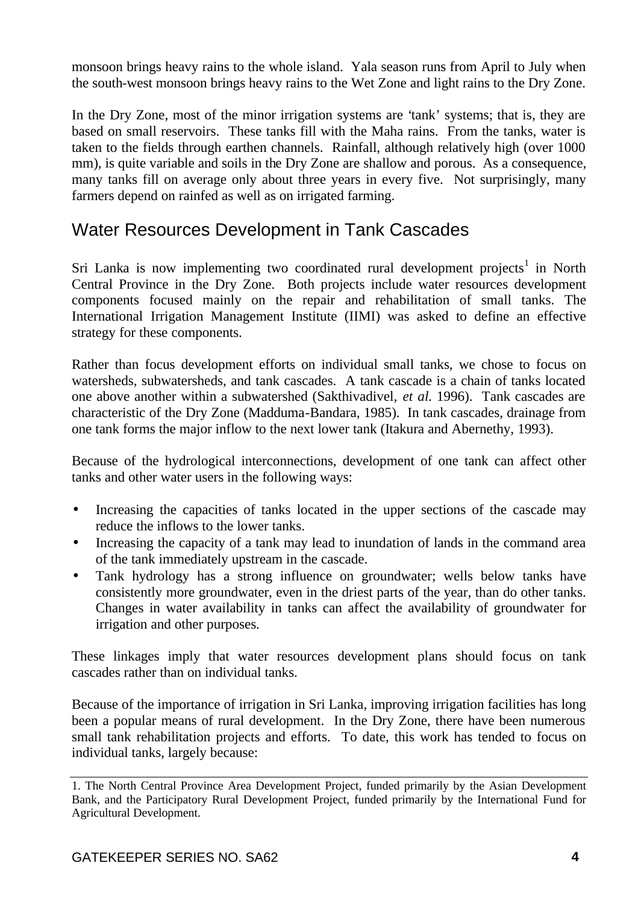monsoon brings heavy rains to the whole island. Yala season runs from April to July when the south-west monsoon brings heavy rains to the Wet Zone and light rains to the Dry Zone.

In the Dry Zone, most of the minor irrigation systems are 'tank' systems; that is, they are based on small reservoirs. These tanks fill with the Maha rains. From the tanks, water is taken to the fields through earthen channels. Rainfall, although relatively high (over 1000 mm), is quite variable and soils in the Dry Zone are shallow and porous. As a consequence, many tanks fill on average only about three years in every five. Not surprisingly, many farmers depend on rainfed as well as on irrigated farming.

### Water Resources Development in Tank Cascades

Sri Lanka is now implementing two coordinated rural development projects<sup>1</sup> in North Central Province in the Dry Zone. Both projects include water resources development components focused mainly on the repair and rehabilitation of small tanks. The International Irrigation Management Institute (IIMI) was asked to define an effective strategy for these components.

Rather than focus development efforts on individual small tanks, we chose to focus on watersheds, subwatersheds, and tank cascades. A tank cascade is a chain of tanks located one above another within a subwatershed (Sakthivadivel, *et al.* 1996). Tank cascades are characteristic of the Dry Zone (Madduma-Bandara, 1985). In tank cascades, drainage from one tank forms the major inflow to the next lower tank (Itakura and Abernethy, 1993).

Because of the hydrological interconnections, development of one tank can affect other tanks and other water users in the following ways:

- Increasing the capacities of tanks located in the upper sections of the cascade may reduce the inflows to the lower tanks.
- Increasing the capacity of a tank may lead to inundation of lands in the command area of the tank immediately upstream in the cascade.
- Tank hydrology has a strong influence on groundwater; wells below tanks have consistently more groundwater, even in the driest parts of the year, than do other tanks. Changes in water availability in tanks can affect the availability of groundwater for irrigation and other purposes.

These linkages imply that water resources development plans should focus on tank cascades rather than on individual tanks.

Because of the importance of irrigation in Sri Lanka, improving irrigation facilities has long been a popular means of rural development. In the Dry Zone, there have been numerous small tank rehabilitation projects and efforts. To date, this work has tended to focus on individual tanks, largely because:

<sup>1.</sup> The North Central Province Area Development Project, funded primarily by the Asian Development Bank, and the Participatory Rural Development Project, funded primarily by the International Fund for Agricultural Development.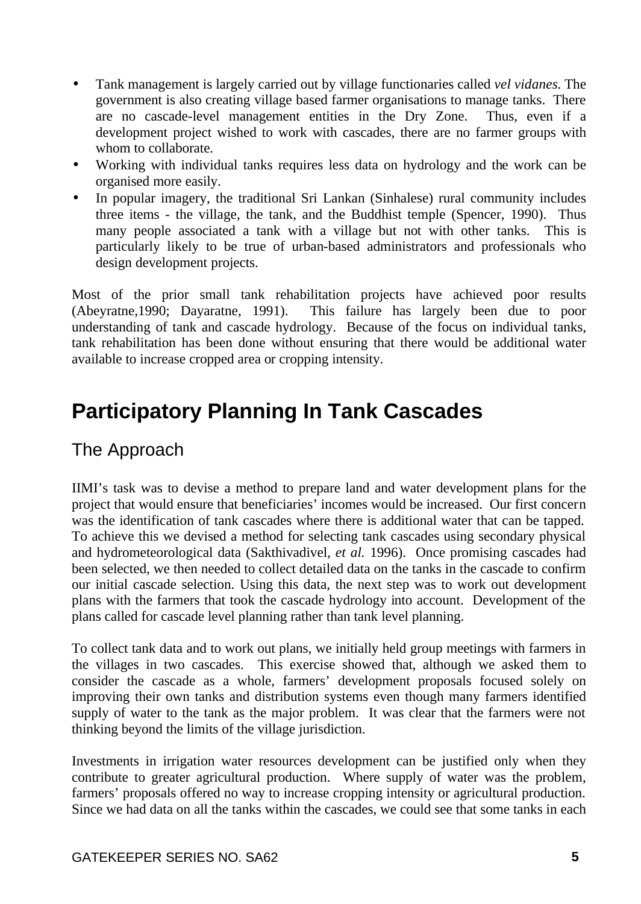- Tank management is largely carried out by village functionaries called *vel vidanes*. The government is also creating village based farmer organisations to manage tanks. There are no cascade-level management entities in the Dry Zone. Thus, even if a development project wished to work with cascades, there are no farmer groups with whom to collaborate.
- Working with individual tanks requires less data on hydrology and the work can be organised more easily.
- In popular imagery, the traditional Sri Lankan (Sinhalese) rural community includes three items - the village, the tank, and the Buddhist temple (Spencer, 1990). Thus many people associated a tank with a village but not with other tanks. This is particularly likely to be true of urban-based administrators and professionals who design development projects.

Most of the prior small tank rehabilitation projects have achieved poor results (Abeyratne,1990; Dayaratne, 1991). This failure has largely been due to poor understanding of tank and cascade hydrology. Because of the focus on individual tanks, tank rehabilitation has been done without ensuring that there would be additional water available to increase cropped area or cropping intensity.

## **Participatory Planning In Tank Cascades**

### The Approach

IIMI's task was to devise a method to prepare land and water development plans for the project that would ensure that beneficiaries' incomes would be increased. Our first concern was the identification of tank cascades where there is additional water that can be tapped. To achieve this we devised a method for selecting tank cascades using secondary physical and hydrometeorological data (Sakthivadivel, *et al.* 1996). Once promising cascades had been selected, we then needed to collect detailed data on the tanks in the cascade to confirm our initial cascade selection. Using this data, the next step was to work out development plans with the farmers that took the cascade hydrology into account. Development of the plans called for cascade level planning rather than tank level planning.

To collect tank data and to work out plans, we initially held group meetings with farmers in the villages in two cascades. This exercise showed that, although we asked them to consider the cascade as a whole, farmers' development proposals focused solely on improving their own tanks and distribution systems even though many farmers identified supply of water to the tank as the major problem. It was clear that the farmers were not thinking beyond the limits of the village jurisdiction.

Investments in irrigation water resources development can be justified only when they contribute to greater agricultural production. Where supply of water was the problem, farmers' proposals offered no way to increase cropping intensity or agricultural production. Since we had data on all the tanks within the cascades, we could see that some tanks in each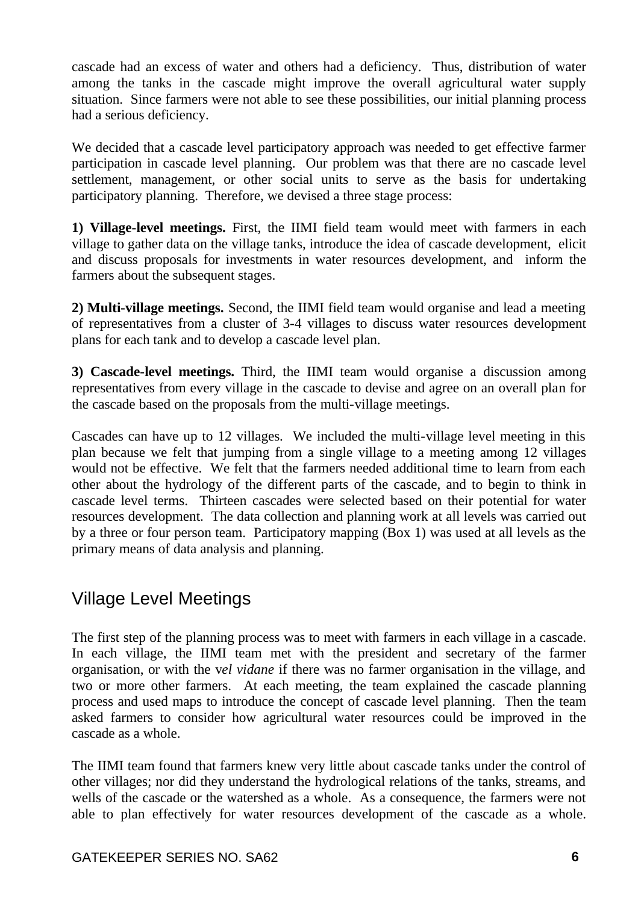cascade had an excess of water and others had a deficiency. Thus, distribution of water among the tanks in the cascade might improve the overall agricultural water supply situation. Since farmers were not able to see these possibilities, our initial planning process had a serious deficiency.

We decided that a cascade level participatory approach was needed to get effective farmer participation in cascade level planning. Our problem was that there are no cascade level settlement, management, or other social units to serve as the basis for undertaking participatory planning. Therefore, we devised a three stage process:

**1) Village-level meetings.** First, the IIMI field team would meet with farmers in each village to gather data on the village tanks, introduce the idea of cascade development, elicit and discuss proposals for investments in water resources development, and inform the farmers about the subsequent stages.

**2) Multi-village meetings.** Second, the IIMI field team would organise and lead a meeting of representatives from a cluster of 3-4 villages to discuss water resources development plans for each tank and to develop a cascade level plan.

**3) Cascade-level meetings.** Third, the IIMI team would organise a discussion among representatives from every village in the cascade to devise and agree on an overall plan for the cascade based on the proposals from the multi-village meetings.

Cascades can have up to 12 villages. We included the multi-village level meeting in this plan because we felt that jumping from a single village to a meeting among 12 villages would not be effective. We felt that the farmers needed additional time to learn from each other about the hydrology of the different parts of the cascade, and to begin to think in cascade level terms. Thirteen cascades were selected based on their potential for water resources development. The data collection and planning work at all levels was carried out by a three or four person team. Participatory mapping (Box 1) was used at all levels as the primary means of data analysis and planning.

### Village Level Meetings

The first step of the planning process was to meet with farmers in each village in a cascade. In each village, the IIMI team met with the president and secretary of the farmer organisation, or with the v*el vidane* if there was no farmer organisation in the village, and two or more other farmers. At each meeting, the team explained the cascade planning process and used maps to introduce the concept of cascade level planning. Then the team asked farmers to consider how agricultural water resources could be improved in the cascade as a whole.

The IIMI team found that farmers knew very little about cascade tanks under the control of other villages; nor did they understand the hydrological relations of the tanks, streams, and wells of the cascade or the watershed as a whole. As a consequence, the farmers were not able to plan effectively for water resources development of the cascade as a whole.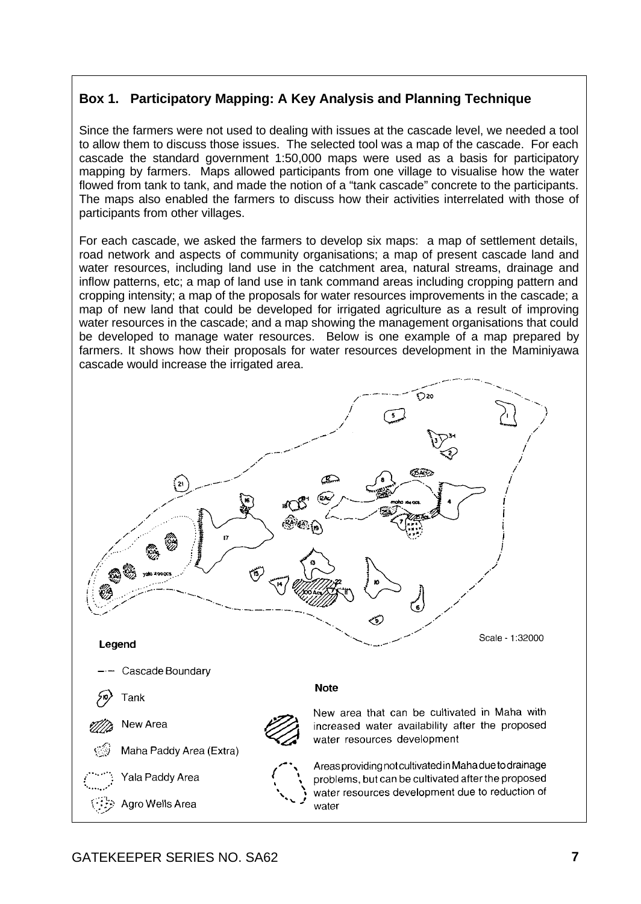#### **Box 1. Participatory Mapping: A Key Analysis and Planning Technique**

Since the farmers were not used to dealing with issues at the cascade level, we needed a tool to allow them to discuss those issues. The selected tool was a map of the cascade. For each cascade the standard government 1:50,000 maps were used as a basis for participatory mapping by farmers. Maps allowed participants from one village to visualise how the water flowed from tank to tank, and made the notion of a "tank cascade" concrete to the participants. The maps also enabled the farmers to discuss how their activities interrelated with those of participants from other villages.

For each cascade, we asked the farmers to develop six maps: a map of settlement details, road network and aspects of community organisations; a map of present cascade land and water resources, including land use in the catchment area, natural streams, drainage and inflow patterns, etc; a map of land use in tank command areas including cropping pattern and cropping intensity; a map of the proposals for water resources improvements in the cascade; a map of new land that could be developed for irrigated agriculture as a result of improving water resources in the cascade; and a map showing the management organisations that could be developed to manage water resources. Below is one example of a map prepared by farmers. It shows how their proposals for water resources development in the Maminiyawa cascade would increase the irrigated area.

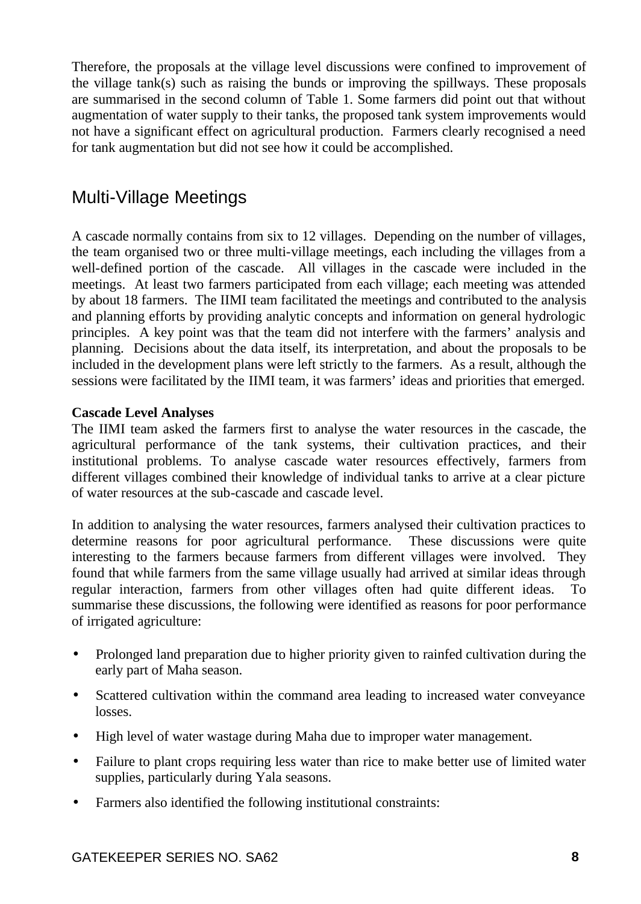Therefore, the proposals at the village level discussions were confined to improvement of the village tank(s) such as raising the bunds or improving the spillways. These proposals are summarised in the second column of Table 1. Some farmers did point out that without augmentation of water supply to their tanks, the proposed tank system improvements would not have a significant effect on agricultural production. Farmers clearly recognised a need for tank augmentation but did not see how it could be accomplished.

### Multi-Village Meetings

A cascade normally contains from six to 12 villages. Depending on the number of villages, the team organised two or three multi-village meetings, each including the villages from a well-defined portion of the cascade. All villages in the cascade were included in the meetings. At least two farmers participated from each village; each meeting was attended by about 18 farmers. The IIMI team facilitated the meetings and contributed to the analysis and planning efforts by providing analytic concepts and information on general hydrologic principles. A key point was that the team did not interfere with the farmers' analysis and planning. Decisions about the data itself, its interpretation, and about the proposals to be included in the development plans were left strictly to the farmers. As a result, although the sessions were facilitated by the IIMI team, it was farmers' ideas and priorities that emerged.

#### **Cascade Level Analyses**

The IIMI team asked the farmers first to analyse the water resources in the cascade, the agricultural performance of the tank systems, their cultivation practices, and their institutional problems. To analyse cascade water resources effectively, farmers from different villages combined their knowledge of individual tanks to arrive at a clear picture of water resources at the sub-cascade and cascade level.

In addition to analysing the water resources, farmers analysed their cultivation practices to determine reasons for poor agricultural performance. These discussions were quite interesting to the farmers because farmers from different villages were involved. They found that while farmers from the same village usually had arrived at similar ideas through regular interaction, farmers from other villages often had quite different ideas. To summarise these discussions, the following were identified as reasons for poor performance of irrigated agriculture:

- Prolonged land preparation due to higher priority given to rainfed cultivation during the early part of Maha season.
- Scattered cultivation within the command area leading to increased water conveyance losses.
- High level of water wastage during Maha due to improper water management.
- Failure to plant crops requiring less water than rice to make better use of limited water supplies, particularly during Yala seasons.
- Farmers also identified the following institutional constraints: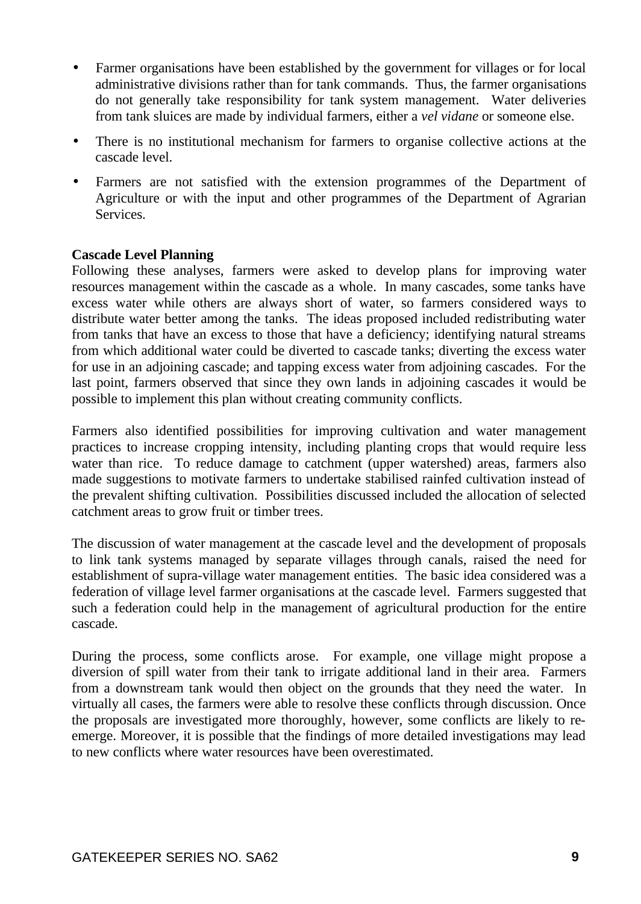- Farmer organisations have been established by the government for villages or for local administrative divisions rather than for tank commands. Thus, the farmer organisations do not generally take responsibility for tank system management. Water deliveries from tank sluices are made by individual farmers, either a *vel vidane* or someone else.
- There is no institutional mechanism for farmers to organise collective actions at the cascade level.
- Farmers are not satisfied with the extension programmes of the Department of Agriculture or with the input and other programmes of the Department of Agrarian Services.

#### **Cascade Level Planning**

Following these analyses, farmers were asked to develop plans for improving water resources management within the cascade as a whole. In many cascades, some tanks have excess water while others are always short of water, so farmers considered ways to distribute water better among the tanks. The ideas proposed included redistributing water from tanks that have an excess to those that have a deficiency; identifying natural streams from which additional water could be diverted to cascade tanks; diverting the excess water for use in an adjoining cascade; and tapping excess water from adjoining cascades. For the last point, farmers observed that since they own lands in adjoining cascades it would be possible to implement this plan without creating community conflicts.

Farmers also identified possibilities for improving cultivation and water management practices to increase cropping intensity, including planting crops that would require less water than rice. To reduce damage to catchment (upper watershed) areas, farmers also made suggestions to motivate farmers to undertake stabilised rainfed cultivation instead of the prevalent shifting cultivation. Possibilities discussed included the allocation of selected catchment areas to grow fruit or timber trees.

The discussion of water management at the cascade level and the development of proposals to link tank systems managed by separate villages through canals, raised the need for establishment of supra-village water management entities. The basic idea considered was a federation of village level farmer organisations at the cascade level. Farmers suggested that such a federation could help in the management of agricultural production for the entire cascade.

During the process, some conflicts arose. For example, one village might propose a diversion of spill water from their tank to irrigate additional land in their area. Farmers from a downstream tank would then object on the grounds that they need the water. In virtually all cases, the farmers were able to resolve these conflicts through discussion. Once the proposals are investigated more thoroughly, however, some conflicts are likely to reemerge. Moreover, it is possible that the findings of more detailed investigations may lead to new conflicts where water resources have been overestimated.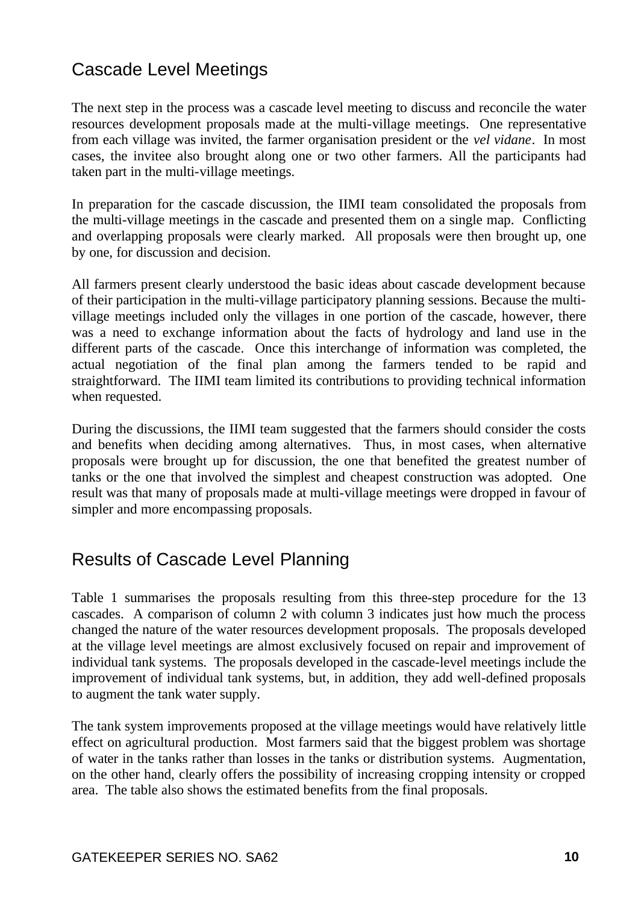## Cascade Level Meetings

The next step in the process was a cascade level meeting to discuss and reconcile the water resources development proposals made at the multi-village meetings. One representative from each village was invited, the farmer organisation president or the *vel vidane*. In most cases, the invitee also brought along one or two other farmers. All the participants had taken part in the multi-village meetings.

In preparation for the cascade discussion, the IIMI team consolidated the proposals from the multi-village meetings in the cascade and presented them on a single map. Conflicting and overlapping proposals were clearly marked. All proposals were then brought up, one by one, for discussion and decision.

All farmers present clearly understood the basic ideas about cascade development because of their participation in the multi-village participatory planning sessions. Because the multivillage meetings included only the villages in one portion of the cascade, however, there was a need to exchange information about the facts of hydrology and land use in the different parts of the cascade. Once this interchange of information was completed, the actual negotiation of the final plan among the farmers tended to be rapid and straightforward. The IIMI team limited its contributions to providing technical information when requested.

During the discussions, the IIMI team suggested that the farmers should consider the costs and benefits when deciding among alternatives. Thus, in most cases, when alternative proposals were brought up for discussion, the one that benefited the greatest number of tanks or the one that involved the simplest and cheapest construction was adopted. One result was that many of proposals made at multi-village meetings were dropped in favour of simpler and more encompassing proposals.

## Results of Cascade Level Planning

Table 1 summarises the proposals resulting from this three-step procedure for the 13 cascades. A comparison of column 2 with column 3 indicates just how much the process changed the nature of the water resources development proposals. The proposals developed at the village level meetings are almost exclusively focused on repair and improvement of individual tank systems. The proposals developed in the cascade-level meetings include the improvement of individual tank systems, but, in addition, they add well-defined proposals to augment the tank water supply.

The tank system improvements proposed at the village meetings would have relatively little effect on agricultural production. Most farmers said that the biggest problem was shortage of water in the tanks rather than losses in the tanks or distribution systems. Augmentation, on the other hand, clearly offers the possibility of increasing cropping intensity or cropped area. The table also shows the estimated benefits from the final proposals.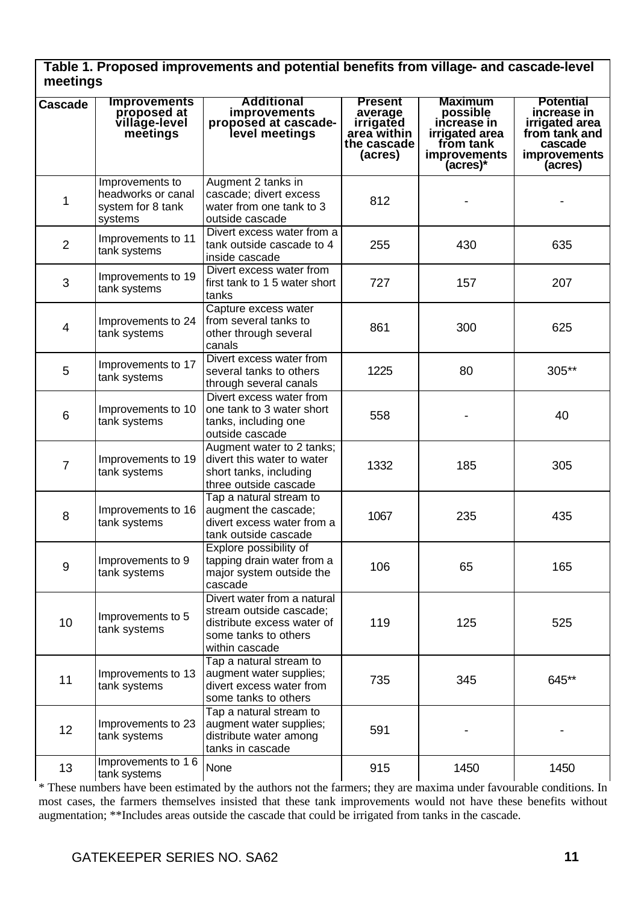| Table 1. Proposed improvements and potential benefits from village- and cascade-level |  |
|---------------------------------------------------------------------------------------|--|
| meetings                                                                              |  |

|         |                                                                       |                                                                                                                                |                                                                                 |                                                                                                             | <b>Potential</b>                                                                            |
|---------|-----------------------------------------------------------------------|--------------------------------------------------------------------------------------------------------------------------------|---------------------------------------------------------------------------------|-------------------------------------------------------------------------------------------------------------|---------------------------------------------------------------------------------------------|
| Cascade | <b>Improvements</b><br>proposed at<br>village-level<br>meetings       | Additional<br>improvements<br>proposed at cascade-<br>level meetings                                                           | <b>Present</b><br>average<br>irrigated<br>area within<br>the cascade<br>(acres) | <b>Maximum</b><br>possible<br>increase in<br>irrigated area<br>from tank<br><b>improvements</b><br>(acres)* | increase in<br>irrigated area<br>from tank and<br>cascade<br><b>improvements</b><br>(acres) |
| 1       | Improvements to<br>headworks or canal<br>system for 8 tank<br>systems | Augment 2 tanks in<br>cascade; divert excess<br>water from one tank to 3<br>outside cascade                                    | 812                                                                             |                                                                                                             |                                                                                             |
| 2       | Improvements to 11<br>tank systems                                    | Divert excess water from a<br>tank outside cascade to 4<br>inside cascade                                                      | 255                                                                             | 430                                                                                                         | 635                                                                                         |
| 3       | Improvements to 19<br>tank systems                                    | Divert excess water from<br>first tank to 1 5 water short<br>tanks                                                             | 727                                                                             | 157                                                                                                         | 207                                                                                         |
| 4       | Improvements to 24<br>tank systems                                    | Capture excess water<br>from several tanks to<br>other through several<br>canals                                               | 861                                                                             | 300                                                                                                         | 625                                                                                         |
| 5       | Improvements to 17<br>tank systems                                    | Divert excess water from<br>several tanks to others<br>through several canals                                                  | 1225                                                                            | 80                                                                                                          | 305**                                                                                       |
| 6       | Improvements to 10<br>tank systems                                    | Divert excess water from<br>one tank to 3 water short<br>tanks, including one<br>outside cascade                               | 558                                                                             |                                                                                                             | 40                                                                                          |
| 7       | Improvements to 19<br>tank systems                                    | Augment water to 2 tanks:<br>divert this water to water<br>short tanks, including<br>three outside cascade                     | 1332                                                                            | 185                                                                                                         | 305                                                                                         |
| 8       | Improvements to 16<br>tank systems                                    | Tap a natural stream to<br>augment the cascade;<br>divert excess water from a<br>tank outside cascade                          | 1067                                                                            | 235                                                                                                         | 435                                                                                         |
| 9       | Improvements to 9<br>tank systems                                     | Explore possibility of<br>tapping drain water from a<br>major system outside the<br>cascade                                    | 106                                                                             | 65                                                                                                          | 165                                                                                         |
| 10      | Improvements to 5<br>tank systems                                     | Divert water from a natural<br>stream outside cascade:<br>distribute excess water of<br>some tanks to others<br>within cascade | 119                                                                             | 125                                                                                                         | 525                                                                                         |
| 11      | Improvements to 13<br>tank systems                                    | Tap a natural stream to<br>augment water supplies;<br>divert excess water from<br>some tanks to others                         | 735                                                                             | 345                                                                                                         | 645**                                                                                       |
| 12      | Improvements to 23<br>tank systems                                    | Tap a natural stream to<br>augment water supplies;<br>distribute water among<br>tanks in cascade                               | 591                                                                             |                                                                                                             |                                                                                             |
| 13      | Improvements to 16<br>tank systems                                    | None                                                                                                                           | 915                                                                             | 1450                                                                                                        | 1450                                                                                        |

\* These numbers have been estimated by the authors not the farmers; they are maxima under favourable conditions. In most cases, the farmers themselves insisted that these tank improvements would not have these benefits without augmentation; \*\*Includes areas outside the cascade that could be irrigated from tanks in the cascade.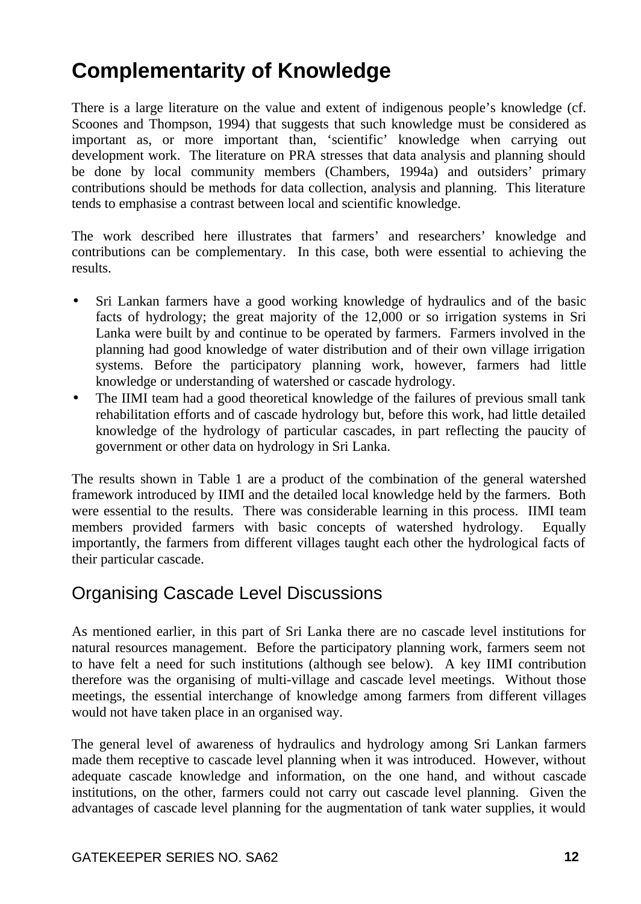## **Complementarity of Knowledge**

There is a large literature on the value and extent of indigenous people's knowledge (cf. Scoones and Thompson, 1994) that suggests that such knowledge must be considered as important as, or more important than, 'scientific' knowledge when carrying out development work. The literature on PRA stresses that data analysis and planning should be done by local community members (Chambers, 1994a) and outsiders' primary contributions should be methods for data collection, analysis and planning. This literature tends to emphasise a contrast between local and scientific knowledge.

The work described here illustrates that farmers' and researchers' knowledge and contributions can be complementary. In this case, both were essential to achieving the results.

- Sri Lankan farmers have a good working knowledge of hydraulics and of the basic facts of hydrology; the great majority of the 12,000 or so irrigation systems in Sri Lanka were built by and continue to be operated by farmers. Farmers involved in the planning had good knowledge of water distribution and of their own village irrigation systems. Before the participatory planning work, however, farmers had little knowledge or understanding of watershed or cascade hydrology.
- The IIMI team had a good theoretical knowledge of the failures of previous small tank rehabilitation efforts and of cascade hydrology but, before this work, had little detailed knowledge of the hydrology of particular cascades, in part reflecting the paucity of government or other data on hydrology in Sri Lanka.

The results shown in Table 1 are a product of the combination of the general watershed framework introduced by IIMI and the detailed local knowledge held by the farmers. Both were essential to the results. There was considerable learning in this process. IIMI team members provided farmers with basic concepts of watershed hydrology. Equally importantly, the farmers from different villages taught each other the hydrological facts of their particular cascade.

### Organising Cascade Level Discussions

As mentioned earlier, in this part of Sri Lanka there are no cascade level institutions for natural resources management. Before the participatory planning work, farmers seem not to have felt a need for such institutions (although see below). A key IIMI contribution therefore was the organising of multi-village and cascade level meetings. Without those meetings, the essential interchange of knowledge among farmers from different villages would not have taken place in an organised way.

The general level of awareness of hydraulics and hydrology among Sri Lankan farmers made them receptive to cascade level planning when it was introduced. However, without adequate cascade knowledge and information, on the one hand, and without cascade institutions, on the other, farmers could not carry out cascade level planning. Given the advantages of cascade level planning for the augmentation of tank water supplies, it would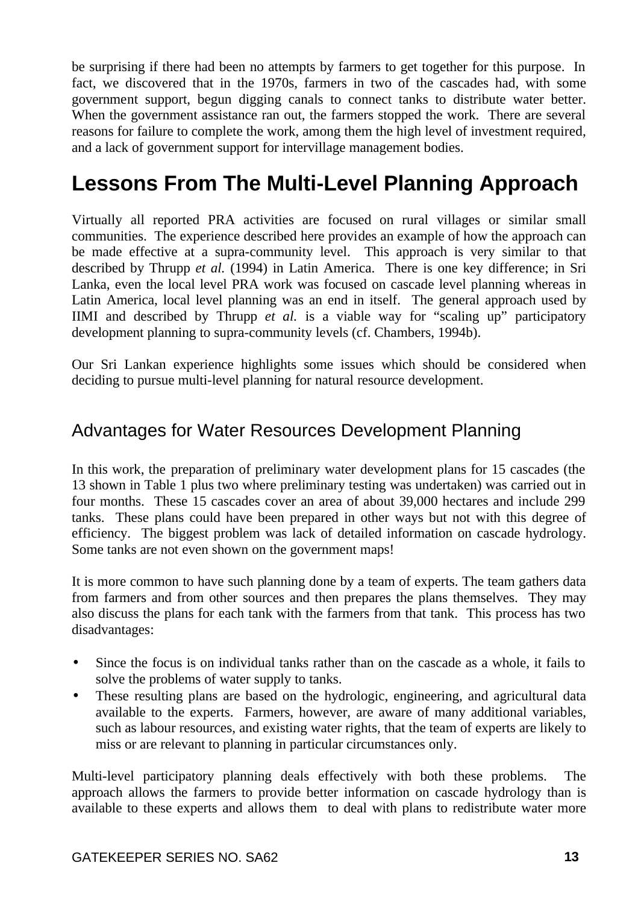be surprising if there had been no attempts by farmers to get together for this purpose. In fact, we discovered that in the 1970s, farmers in two of the cascades had, with some government support, begun digging canals to connect tanks to distribute water better. When the government assistance ran out, the farmers stopped the work. There are several reasons for failure to complete the work, among them the high level of investment required, and a lack of government support for intervillage management bodies.

## **Lessons From The Multi-Level Planning Approach**

Virtually all reported PRA activities are focused on rural villages or similar small communities. The experience described here provides an example of how the approach can be made effective at a supra-community level. This approach is very similar to that described by Thrupp *et al.* (1994) in Latin America. There is one key difference; in Sri Lanka, even the local level PRA work was focused on cascade level planning whereas in Latin America, local level planning was an end in itself. The general approach used by IIMI and described by Thrupp *et al.* is a viable way for "scaling up" participatory development planning to supra-community levels (cf. Chambers, 1994b).

Our Sri Lankan experience highlights some issues which should be considered when deciding to pursue multi-level planning for natural resource development.

### Advantages for Water Resources Development Planning

In this work, the preparation of preliminary water development plans for 15 cascades (the 13 shown in Table 1 plus two where preliminary testing was undertaken) was carried out in four months. These 15 cascades cover an area of about 39,000 hectares and include 299 tanks. These plans could have been prepared in other ways but not with this degree of efficiency. The biggest problem was lack of detailed information on cascade hydrology. Some tanks are not even shown on the government maps!

It is more common to have such planning done by a team of experts. The team gathers data from farmers and from other sources and then prepares the plans themselves. They may also discuss the plans for each tank with the farmers from that tank. This process has two disadvantages:

- Since the focus is on individual tanks rather than on the cascade as a whole, it fails to solve the problems of water supply to tanks.
- These resulting plans are based on the hydrologic, engineering, and agricultural data available to the experts. Farmers, however, are aware of many additional variables, such as labour resources, and existing water rights, that the team of experts are likely to miss or are relevant to planning in particular circumstances only.

Multi-level participatory planning deals effectively with both these problems. The approach allows the farmers to provide better information on cascade hydrology than is available to these experts and allows them to deal with plans to redistribute water more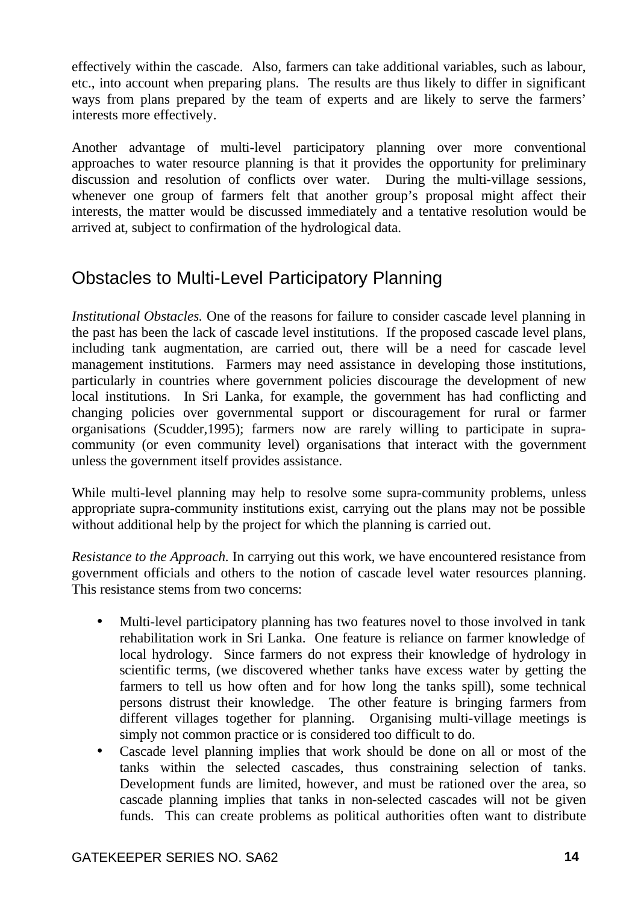effectively within the cascade. Also, farmers can take additional variables, such as labour, etc., into account when preparing plans. The results are thus likely to differ in significant ways from plans prepared by the team of experts and are likely to serve the farmers' interests more effectively.

Another advantage of multi-level participatory planning over more conventional approaches to water resource planning is that it provides the opportunity for preliminary discussion and resolution of conflicts over water. During the multi-village sessions, whenever one group of farmers felt that another group's proposal might affect their interests, the matter would be discussed immediately and a tentative resolution would be arrived at, subject to confirmation of the hydrological data.

## Obstacles to Multi-Level Participatory Planning

*Institutional Obstacles.* One of the reasons for failure to consider cascade level planning in the past has been the lack of cascade level institutions. If the proposed cascade level plans, including tank augmentation, are carried out, there will be a need for cascade level management institutions. Farmers may need assistance in developing those institutions, particularly in countries where government policies discourage the development of new local institutions. In Sri Lanka, for example, the government has had conflicting and changing policies over governmental support or discouragement for rural or farmer organisations (Scudder,1995); farmers now are rarely willing to participate in supracommunity (or even community level) organisations that interact with the government unless the government itself provides assistance.

While multi-level planning may help to resolve some supra-community problems, unless appropriate supra-community institutions exist, carrying out the plans may not be possible without additional help by the project for which the planning is carried out.

*Resistance to the Approach.* In carrying out this work, we have encountered resistance from government officials and others to the notion of cascade level water resources planning. This resistance stems from two concerns:

- Multi-level participatory planning has two features novel to those involved in tank rehabilitation work in Sri Lanka. One feature is reliance on farmer knowledge of local hydrology. Since farmers do not express their knowledge of hydrology in scientific terms, (we discovered whether tanks have excess water by getting the farmers to tell us how often and for how long the tanks spill), some technical persons distrust their knowledge. The other feature is bringing farmers from different villages together for planning. Organising multi-village meetings is simply not common practice or is considered too difficult to do.
- Cascade level planning implies that work should be done on all or most of the tanks within the selected cascades, thus constraining selection of tanks. Development funds are limited, however, and must be rationed over the area, so cascade planning implies that tanks in non-selected cascades will not be given funds. This can create problems as political authorities often want to distribute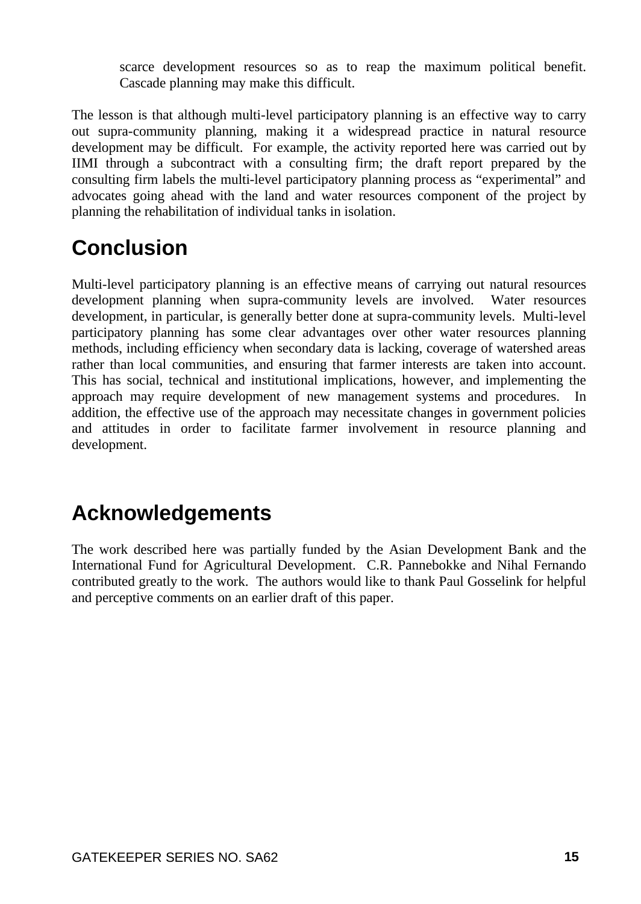scarce development resources so as to reap the maximum political benefit. Cascade planning may make this difficult.

The lesson is that although multi-level participatory planning is an effective way to carry out supra-community planning, making it a widespread practice in natural resource development may be difficult. For example, the activity reported here was carried out by IIMI through a subcontract with a consulting firm; the draft report prepared by the consulting firm labels the multi-level participatory planning process as "experimental" and advocates going ahead with the land and water resources component of the project by planning the rehabilitation of individual tanks in isolation.

# **Conclusion**

Multi-level participatory planning is an effective means of carrying out natural resources development planning when supra-community levels are involved. Water resources development, in particular, is generally better done at supra-community levels. Multi-level participatory planning has some clear advantages over other water resources planning methods, including efficiency when secondary data is lacking, coverage of watershed areas rather than local communities, and ensuring that farmer interests are taken into account. This has social, technical and institutional implications, however, and implementing the approach may require development of new management systems and procedures. In addition, the effective use of the approach may necessitate changes in government policies and attitudes in order to facilitate farmer involvement in resource planning and development.

## **Acknowledgements**

The work described here was partially funded by the Asian Development Bank and the International Fund for Agricultural Development. C.R. Pannebokke and Nihal Fernando contributed greatly to the work. The authors would like to thank Paul Gosselink for helpful and perceptive comments on an earlier draft of this paper.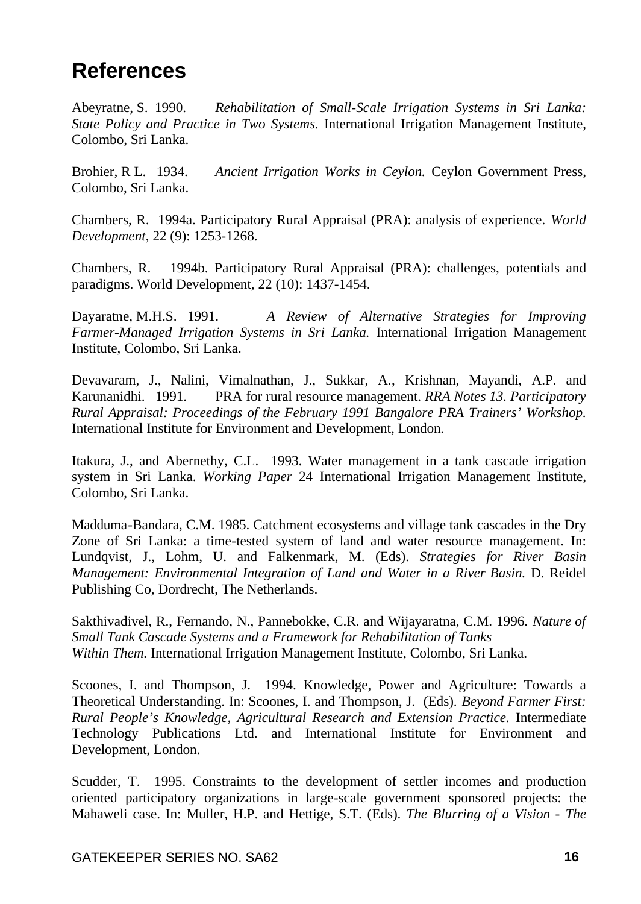## **References**

Abeyratne, S. 1990. *Rehabilitation of Small-Scale Irrigation Systems in Sri Lanka: State Policy and Practice in Two Systems.* International Irrigation Management Institute, Colombo, Sri Lanka.

Brohier, R L. 1934. *Ancient Irrigation Works in Ceylon.* Ceylon Government Press, Colombo, Sri Lanka.

Chambers, R. 1994a. Participatory Rural Appraisal (PRA): analysis of experience. *World Development*, 22 (9): 1253-1268.

Chambers, R. 1994b. Participatory Rural Appraisal (PRA): challenges, potentials and paradigms. World Development, 22 (10): 1437-1454.

Dayaratne, M.H.S. 1991. *A Review of Alternative Strategies for Improving Farmer-Managed Irrigation Systems in Sri Lanka.* International Irrigation Management Institute, Colombo, Sri Lanka.

Devavaram, J., Nalini, Vimalnathan, J., Sukkar, A., Krishnan, Mayandi, A.P. and Karunanidhi. 1991. PRA for rural resource management. *RRA Notes 13. Participatory Rural Appraisal: Proceedings of the February 1991 Bangalore PRA Trainers' Workshop.* International Institute for Environment and Development, London.

Itakura, J., and Abernethy, C.L. 1993. Water management in a tank cascade irrigation system in Sri Lanka. *Working Paper* 24 International Irrigation Management Institute, Colombo, Sri Lanka.

Madduma-Bandara, C.M. 1985. Catchment ecosystems and village tank cascades in the Dry Zone of Sri Lanka: a time-tested system of land and water resource management. In: Lundqvist, J., Lohm, U. and Falkenmark, M. (Eds). *Strategies for River Basin Management: Environmental Integration of Land and Water in a River Basin.* D. Reidel Publishing Co, Dordrecht, The Netherlands.

Sakthivadivel, R., Fernando, N., Pannebokke, C.R. and Wijayaratna, C.M. 1996. *Nature of Small Tank Cascade Systems and a Framework for Rehabilitation of Tanks Within Them.* International Irrigation Management Institute, Colombo, Sri Lanka.

Scoones, I. and Thompson, J. 1994. Knowledge, Power and Agriculture: Towards a Theoretical Understanding. In: Scoones, I. and Thompson, J. (Eds). *Beyond Farmer First: Rural People's Knowledge, Agricultural Research and Extension Practice.* Intermediate Technology Publications Ltd. and International Institute for Environment and Development, London.

Scudder, T. 1995. Constraints to the development of settler incomes and production oriented participatory organizations in large-scale government sponsored projects: the Mahaweli case. In: Muller, H.P. and Hettige, S.T. (Eds). *The Blurring of a Vision - The*